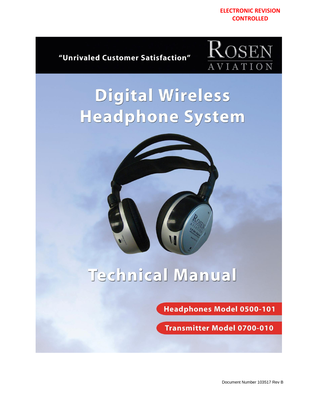

"Unrivaled Customer Satisfaction"



# Digital Wireless **Headphone System**



# Technical Manual

**Headphones Model 0500-101** 

**Transmitter Model 0700-010**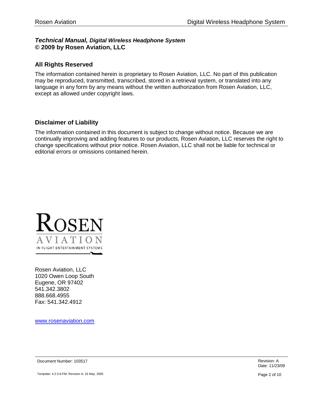#### *Technical Manual, Digital Wireless Headphone System* **© 2009 by Rosen Aviation, LLC**

#### **All Rights Reserved**

The information contained herein is proprietary to Rosen Aviation, LLC. No part of this publication may be reproduced, transmitted, transcribed, stored in a retrieval system, or translated into any language in any form by any means without the written authorization from Rosen Aviation, LLC, except as allowed under copyright laws.

#### **Disclaimer of Liability**

The information contained in this document is subject to change without notice. Because we are continually improving and adding features to our products, Rosen Aviation, LLC reserves the right to change specifications without prior notice. Rosen Aviation, LLC shall not be liable for technical or editorial errors or omissions contained herein.



Rosen Aviation, LLC 1020 Owen Loop South Eugene, OR 97402 541.342.3802 888.668.4955 Fax: 541.342.4912

[www.rosenaviation.com](http://www.rosenaviation.com/)

**Document Number: 103517** Revision: A

Template: 4.2.3-6-FM; Revision A; 16 May, 2005 **Page 2 of 10**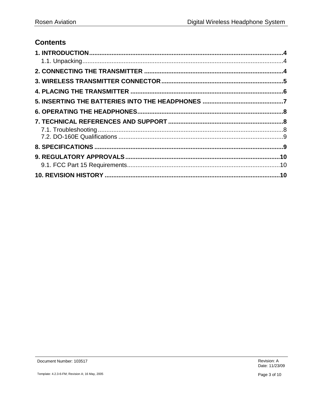# **Contents**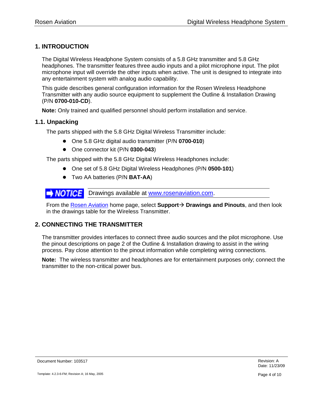# <span id="page-3-0"></span>**1. INTRODUCTION**

The Digital Wireless Headphone System consists of a 5.8 GHz transmitter and 5.8 GHz headphones. The transmitter features three audio inputs and a pilot microphone input. The pilot microphone input will override the other inputs when active. The unit is designed to integrate into any entertainment system with analog audio capability.

This guide describes general configuration information for the Rosen Wireless Headphone Transmitter with any audio source equipment to supplement the Outline & Installation Drawing (P/N **0700-010-CD**).

**Note:** Only trained and qualified personnel should perform installation and service.

#### <span id="page-3-1"></span>**1.1. Unpacking**

The parts shipped with the 5.8 GHz Digital Wireless Transmitter include:

- One 5.8 GHz digital audio transmitter (P/N **0700-010**)
- One connector kit (P/N **0300-043**)

The parts shipped with the 5.8 GHz Digital Wireless Headphones include:

- One set of 5.8 GHz Digital Wireless Headphones (P/N **0500-101**)
- Two AA batteries (P/N **BAT-AA**)

**DRAMPTICE** Drawings available at [www.rosenaviation.com.](http://www.rosenaviation.com/)

From the [Rosen Aviation](http://www.rosenaviation.com/) home page, select **Support Drawings and Pinouts**, and then look in the drawings table for the Wireless Transmitter.

#### <span id="page-3-2"></span>**2. CONNECTING THE TRANSMITTER**

The transmitter provides interfaces to connect three audio sources and the pilot microphone. Use the pinout descriptions on page 2 of the Outline & Installation drawing to assist in the wiring process. Pay close attention to the pinout information while completing wiring connections.

**Note:** The wireless transmitter and headphones are for entertainment purposes only; connect the transmitter to the non-critical power bus.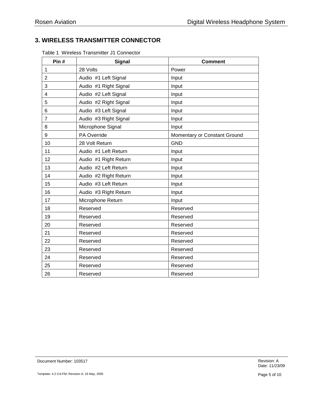# <span id="page-4-0"></span>**3. WIRELESS TRANSMITTER CONNECTOR**

| Pin#           | <b>Signal</b>         | <b>Comment</b>               |
|----------------|-----------------------|------------------------------|
| 1              | 28 Volts              | Power                        |
| $\overline{2}$ | Audio #1 Left Signal  | Input                        |
| 3              | Audio #1 Right Signal | Input                        |
| $\overline{4}$ | Audio #2 Left Signal  | Input                        |
| 5              | Audio #2 Right Signal | Input                        |
| 6              | Audio #3 Left Signal  | Input                        |
| 7              | Audio #3 Right Signal | Input                        |
| 8              | Microphone Signal     | Input                        |
| 9              | PA Override           | Momentary or Constant Ground |
| 10             | 28 Volt Return        | <b>GND</b>                   |
| 11             | Audio #1 Left Return  | Input                        |
| 12             | Audio #1 Right Return | Input                        |
| 13             | Audio #2 Left Return  | Input                        |
| 14             | Audio #2 Right Return | Input                        |
| 15             | Audio #3 Left Return  | Input                        |
| 16             | Audio #3 Right Return | Input                        |
| 17             | Microphone Return     | Input                        |
| 18             | Reserved              | Reserved                     |
| 19             | Reserved              | Reserved                     |
| 20             | Reserved              | Reserved                     |
| 21             | Reserved              | Reserved                     |
| 22             | Reserved              | Reserved                     |
| 23             | Reserved              | Reserved                     |
| 24             | Reserved              | Reserved                     |
| 25             | Reserved              | Reserved                     |
| 26             | Reserved              | Reserved                     |

Table 1 Wireless Transmitter J1 Connector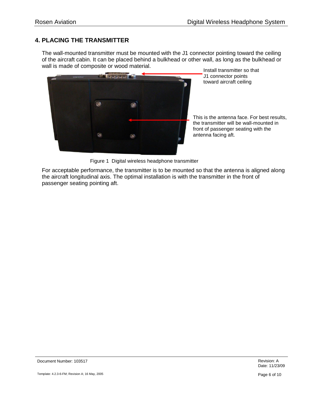# <span id="page-5-0"></span>**4. PLACING THE TRANSMITTER**

The wall-mounted transmitter must be mounted with the J1 connector pointing toward the ceiling of the aircraft cabin. It can be placed behind a bulkhead or other wall, as long as the bulkhead or wall is made of composite or wood material.



Install transmitter so that J1 connector points toward aircraft ceiling

This is the antenna face. For best results, the transmitter will be wall-mounted in front of passenger seating with the antenna facing aft.

Figure 1 Digital wireless headphone transmitter

For acceptable performance, the transmitter is to be mounted so that the antenna is aligned along the aircraft longitudinal axis. The optimal installation is with the transmitter in the front of passenger seating pointing aft.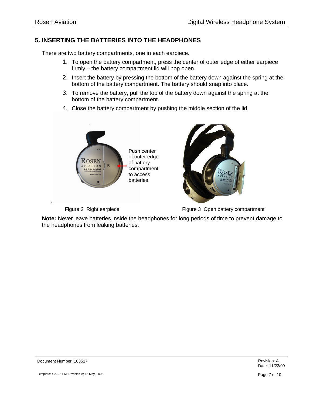.

# <span id="page-6-0"></span>**5. INSERTING THE BATTERIES INTO THE HEADPHONES**

There are two battery compartments, one in each earpiece.

- 1. To open the battery compartment, press the center of outer edge of either earpiece firmly – the battery compartment lid will pop open.
- 2. Insert the battery by pressing the bottom of the battery down against the spring at the bottom of the battery compartment. The battery should snap into place.
- 3. To remove the battery, pull the top of the battery down against the spring at the bottom of the battery compartment.
- 4. Close the battery compartment by pushing the middle section of the lid.





Figure 2 Right earpiece Figure 3 Open battery compartment

**Note:** Never leave batteries inside the headphones for long periods of time to prevent damage to the headphones from leaking batteries.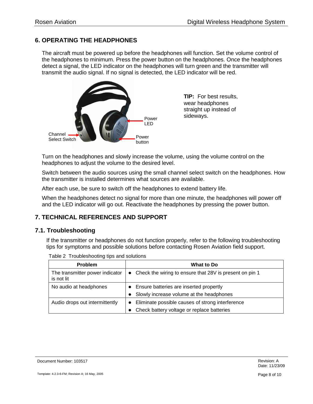# <span id="page-7-0"></span>**6. OPERATING THE HEADPHONES**

The aircraft must be powered up before the headphones will function. Set the volume control of the headphones to minimum. Press the power button on the headphones. Once the headphones detect a signal, the LED indicator on the headphones will turn green and the transmitter will transmit the audio signal. If no signal is detected, the LED indicator will be red.



**TIP:** For best results, wear headphones straight up instead of sideways.

Turn on the headphones and slowly increase the volume, using the volume control on the headphones to adjust the volume to the desired level.

Switch between the audio sources using the small channel select switch on the headphones. How the transmitter is installed determines what sources are available.

After each use, be sure to switch off the headphones to extend battery life.

When the headphones detect no signal for more than one minute, the headphones will power off and the LED indicator will go out. Reactivate the headphones by pressing the power button.

# <span id="page-7-1"></span>**7. TECHNICAL REFERENCES AND SUPPORT**

#### <span id="page-7-2"></span>**7.1. Troubleshooting**

If the transmitter or headphones do not function properly, refer to the following troubleshooting tips for symptoms and possible solutions before contacting Rosen Aviation field support.

| <b>Problem</b>                                | <b>What to Do</b>                                         |
|-----------------------------------------------|-----------------------------------------------------------|
| The transmitter power indicator<br>is not lit | • Check the wiring to ensure that 28V is present on pin 1 |
| No audio at headphones                        | • Ensure batteries are inserted propertly                 |
|                                               | Slowly increase volume at the headphones                  |
| Audio drops out intermittently                | Eliminate possible causes of strong interference          |
|                                               | Check battery voltage or replace batteries                |

Table 2 Troubleshooting tips and solutions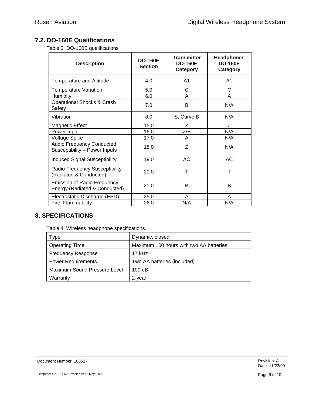# <span id="page-8-0"></span>**7.2. DO-160E Qualifications**

Table 3 DO-160E qualifications

| <b>Description</b>                                                  | <b>DO-160E</b><br><b>Section</b> | <b>Transmitter</b><br><b>DO-160E</b><br>Category | <b>Headphones</b><br><b>DO-160E</b><br>Category |
|---------------------------------------------------------------------|----------------------------------|--------------------------------------------------|-------------------------------------------------|
| Temperature and Altitude                                            | 4.0                              | A <sub>1</sub>                                   | A1                                              |
| <b>Temperature Variation</b>                                        | 5.0                              | C                                                | С                                               |
| <b>Humidity</b>                                                     | 6.0                              | A                                                | A                                               |
| Operational Shocks & Crash<br>Safety                                | 7.0                              | B                                                | N/A                                             |
| Vibration                                                           | 8.0                              | S, Curve B                                       | N/A                                             |
| <b>Magnetic Effect</b>                                              | 15.0                             | Ζ                                                | Ζ                                               |
| Power Input                                                         | 16.0                             | Z/B                                              | N/A                                             |
| <b>Voltage Spike</b>                                                | 17.0                             | A                                                | N/A                                             |
| <b>Audio Frequency Conducted</b><br>Susceptibility - Power Inputs   | 18.0                             | Z                                                | N/A                                             |
| <b>Induced Signal Susceptibility</b>                                | 19.0                             | AC.                                              | AC                                              |
| Radio Frequency Susceptibility<br>(Radiated & Conducted)            | 20.0                             | Т                                                | т                                               |
| <b>Emission of Radio Frequency</b><br>Energy (Radiated & Conducted) | 21.0                             | B                                                | в                                               |
| Electrostatic Discharge (ESD)                                       | 25.0                             | A                                                | A                                               |
| Fire, Flammability                                                  | 26.0                             | N/A                                              | N/A                                             |

# <span id="page-8-1"></span>**8. SPECIFICATIONS**

Table 4 Wireless headphone specifications

| Type                         | Dynamic, closed                         |
|------------------------------|-----------------------------------------|
| <b>Operating Time</b>        | Maximum 100 hours with two AA batteries |
| <b>Frequency Response</b>    | $17$ kHz                                |
| <b>Power Requirements</b>    | Two AA batteries (included)             |
| Maximum Sound Pressure Level | 100dB                                   |
| Warranty                     | 2-year                                  |